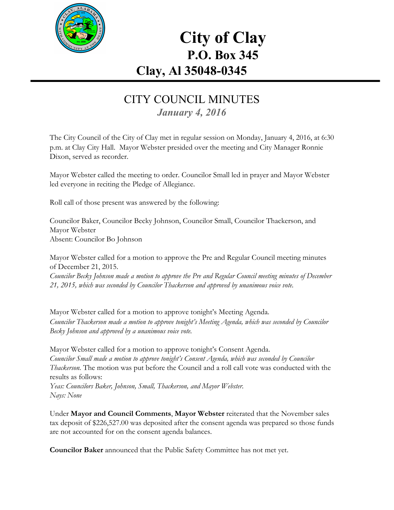

# **City of Clay P.O. Box 345 Clay, Al 35048-0345**

#### CITY COUNCIL MINUTES *January 4, 2016*

The City Council of the City of Clay met in regular session on Monday, January 4, 2016, at 6:30 p.m. at Clay City Hall. Mayor Webster presided over the meeting and City Manager Ronnie Dixon, served as recorder.

Mayor Webster called the meeting to order. Councilor Small led in prayer and Mayor Webster led everyone in reciting the Pledge of Allegiance.

Roll call of those present was answered by the following:

Councilor Baker, Councilor Becky Johnson, Councilor Small, Councilor Thackerson, and Mayor Webster Absent: Councilor Bo Johnson

Mayor Webster called for a motion to approve the Pre and Regular Council meeting minutes of December 21, 2015.

*Councilor Becky Johnson made a motion to approve the Pre and Regular Council meeting minutes of December 21, 2015, which was seconded by Councilor Thackerson and approved by unanimous voice vote.*

Mayor Webster called for a motion to approve tonight's Meeting Agenda. *Councilor Thackerson made a motion to approve tonight's Meeting Agenda, which was seconded by Councilor Becky Johnson and approved by a unanimous voice vote.*

Mayor Webster called for a motion to approve tonight's Consent Agenda. *Councilor Small made a motion to approve tonight's Consent Agenda, which was seconded by Councilor Thackerson.* The motion was put before the Council and a roll call vote was conducted with the results as follows:

*Yeas: Councilors Baker, Johnson, Small, Thackerson, and Mayor Webster. Nays: None*

Under **Mayor and Council Comments**, **Mayor Webster**reiterated that the November sales tax deposit of \$226,527.00 was deposited after the consent agenda was prepared so those funds are not accounted for on the consent agenda balances.

**Councilor Baker**announced that the Public Safety Committee has not met yet.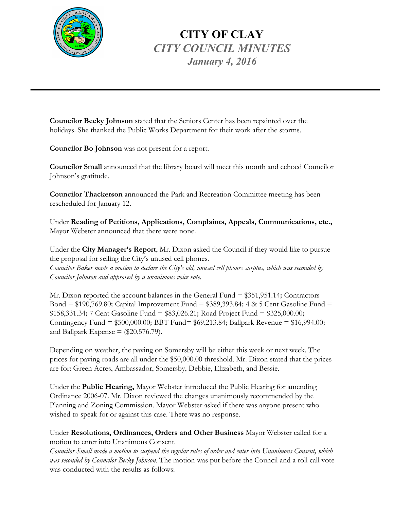

## **CITY OF CLAY** *CITY COUNCIL MINUTES January 4, 2016*

**Councilor Becky Johnson**stated that the Seniors Center has been repainted over the holidays. She thanked the Public Works Department for their work after the storms.

**Councilor Bo Johnson**was not present for a report.

**Councilor Small**announced that the library board will meet this month and echoed Councilor Johnson's gratitude.

**Councilor Thackerson**announced the Park and Recreation Committee meeting has been rescheduled for January 12.

Under **Reading of Petitions, Applications, Complaints, Appeals, Communications, etc.,** Mayor Webster announced that there were none.

Under the **City Manager's Report**, Mr. Dixon asked the Council if they would like to pursue the proposal for selling the City's unused cell phones. Councilor Baker made a motion to declare the City's old, unused cell phones surplus, which was seconded by *Councilor Johnson and approved by a unanimous voice vote.*

Mr. Dixon reported the account balances in the General Fund = \$351,951.14; Contractors Bond = \$190,769.80; Capital Improvement Fund = \$389,393.84; 4 & 5 Cent Gasoline Fund =  $$158,331.34$ ; 7 Cent Gasoline Fund =  $$83,026.21$ ; Road Project Fund =  $$325,000.00$ ; Contingency Fund = \$500,000.00; BBT Fund= \$69,213.84; Ballpark Revenue = \$16,994.00; and Ballpark Expense  $=$  (\$20,576.79).

Depending on weather, the paving on Somersby will be either this week or next week. The prices for paving roads are all under the \$50,000.00 threshold. Mr. Dixon stated that the prices are for: Green Acres, Ambassador, Somersby, Debbie, Elizabeth, and Bessie.

Under the **Public Hearing,** Mayor Webster introduced the Public Hearing for amending Ordinance 2006-07. Mr. Dixon reviewed the changes unanimously recommended by the Planning and Zoning Commission. Mayor Webster asked if there was anyone present who wished to speak for or against this case. There was no response.

Under **Resolutions, Ordinances, Orders and Other Business** Mayor Webster called for a motion to enter into Unanimous Consent.

Councilor Small made a motion to suspend the regular rules of order and enter into Unanimous Consent, which *was seconded by Councilor Becky Johnson.* The motion was put before the Council and a roll call vote was conducted with the results as follows: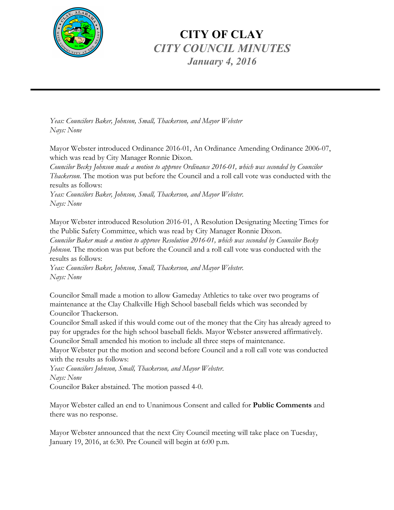

### **CITY OF CLAY** *CITY COUNCIL MINUTES January 4, 2016*

*Yeas: Councilors Baker, Johnson, Small, Thackerson, and Mayor Webster Nays: None*

Mayor Webster introduced Ordinance 2016-01, An Ordinance Amending Ordinance 2006-07, which was read by City Manager Ronnie Dixon.

*Councilor Becky Johnson made a motion to approve Ordinance 2016-01, which was seconded by Councilor Thackerson.* The motion was put before the Council and a roll call vote was conducted with the results as follows:

*Yeas: Councilors Baker, Johnson, Small, Thackerson, and Mayor Webster. Nays: None*

Mayor Webster introduced Resolution 2016-01, A Resolution Designating Meeting Times for the Public Safety Committee, which was read by City Manager Ronnie Dixon.

*Councilor Baker made a motion to approve Resolution 2016-01, which was seconded by Councilor Becky Johnson.* The motion was put before the Council and a roll call vote was conducted with the results as follows:

*Yeas: Councilors Baker, Johnson, Small, Thackerson, and Mayor Webster. Nays: None*

Councilor Small made a motion to allow Gameday Athletics to take over two programs of maintenance at the Clay Chalkville High School baseball fields which was seconded by Councilor Thackerson.

Councilor Small asked if this would come out of the money that the City has already agreed to pay for upgrades for the high school baseball fields. Mayor Webster answered affirmatively. Councilor Small amended his motion to include all three steps of maintenance.

Mayor Webster put the motion and second before Council and a roll call vote was conducted with the results as follows:

*Yeas: Councilors Johnson, Small, Thackerson, and Mayor Webster. Nays: None*

Councilor Baker abstained. The motion passed 4-0.

Mayor Webster called an end to Unanimous Consent and called for **Public Comments** and there was no response.

Mayor Webster announced that the next City Council meeting will take place on Tuesday, January 19, 2016, at 6:30. Pre Council will begin at 6:00 p.m.